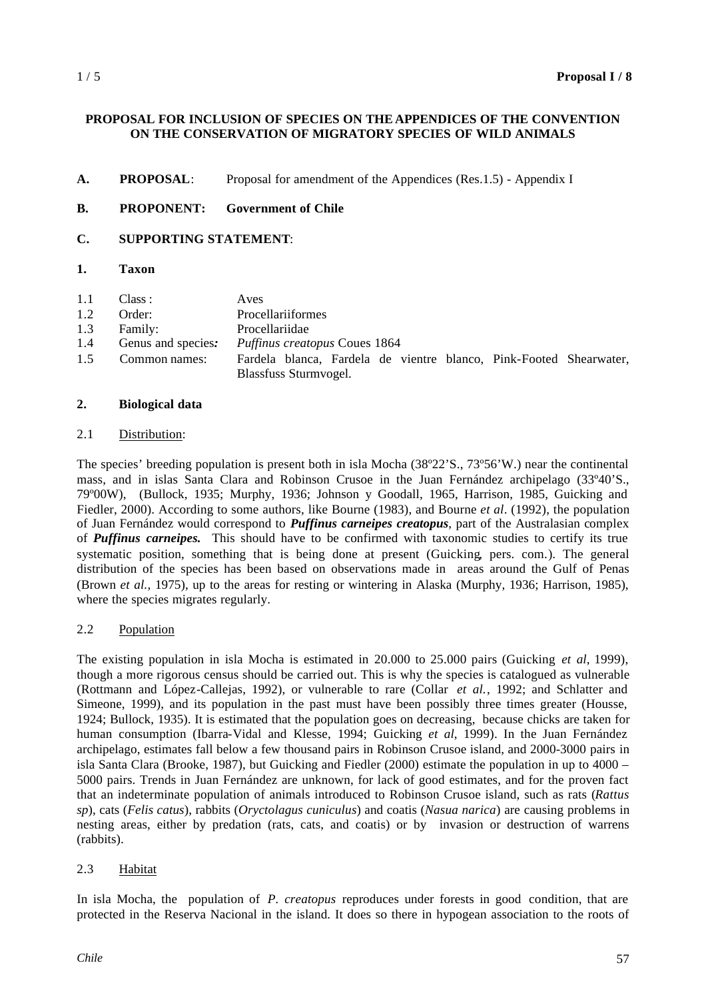## **PROPOSAL FOR INCLUSION OF SPECIES ON THE APPENDICES OF THE CONVENTION ON THE CONSERVATION OF MIGRATORY SPECIES OF WILD ANIMALS**

- **A. PROPOSAL**: Proposal for amendment of the Appendices (Res.1.5) Appendix I
- **B. PROPONENT: Government of Chile**
- **C. SUPPORTING STATEMENT**:

## **1. Taxon**

- 1.1 Class : Aves
- 1.2 Order: Procellariiformes
- 1.3 Family: Procellariidae
- 1.4 Genus and species*: Puffinus creatopus* Coues 1864
- 1.5 Common names: Fardela blanca, Fardela de vientre blanco, Pink-Footed Shearwater, Blassfuss Sturmvogel.

## **2. Biological data**

## 2.1 Distribution:

The species' breeding population is present both in isla Mocha (38º22'S., 73º56'W.) near the continental mass, and in islas Santa Clara and Robinson Crusoe in the Juan Fernández archipelago (33º40'S., 79º00W), (Bullock, 1935; Murphy, 1936; Johnson y Goodall, 1965, Harrison, 1985, Guicking and Fiedler, 2000). According to some authors, like Bourne (1983), and Bourne *et al*. (1992), the population of Juan Fernández would correspond to *Puffinus carneipes creatopus*, part of the Australasian complex of *Puffinus carneipes***.** This should have to be confirmed with taxonomic studies to certify its true systematic position, something that is being done at present (Guicking, pers. com.). The general distribution of the species has been based on observations made in areas around the Gulf of Penas (Brown *et al.,* 1975), up to the areas for resting or wintering in Alaska (Murphy, 1936; Harrison, 1985), where the species migrates regularly.

# 2.2 Population

The existing population in isla Mocha is estimated in 20.000 to 25.000 pairs (Guicking *et al*, 1999), though a more rigorous census should be carried out. This is why the species is catalogued as vulnerable (Rottmann and López-Callejas, 1992), or vulnerable to rare (Collar *et al.*, 1992; and Schlatter and Simeone, 1999), and its population in the past must have been possibly three times greater (Housse, 1924; Bullock, 1935). It is estimated that the population goes on decreasing, because chicks are taken for human consumption (Ibarra-Vidal and Klesse, 1994; Guicking *et al*, 1999). In the Juan Fernández archipelago, estimates fall below a few thousand pairs in Robinson Crusoe island, and 2000-3000 pairs in isla Santa Clara (Brooke, 1987), but Guicking and Fiedler (2000) estimate the population in up to 4000 – 5000 pairs. Trends in Juan Fernández are unknown, for lack of good estimates, and for the proven fact that an indeterminate population of animals introduced to Robinson Crusoe island, such as rats (*Rattus sp*), cats (*Felis catus*), rabbits (*Oryctolagus cuniculus*) and coatis (*Nasua narica*) are causing problems in nesting areas, either by predation (rats, cats, and coatis) or by invasion or destruction of warrens (rabbits).

# 2.3 Habitat

In isla Mocha, the population of *P. creatopus* reproduces under forests in good condition, that are protected in the Reserva Nacional in the island. It does so there in hypogean association to the roots of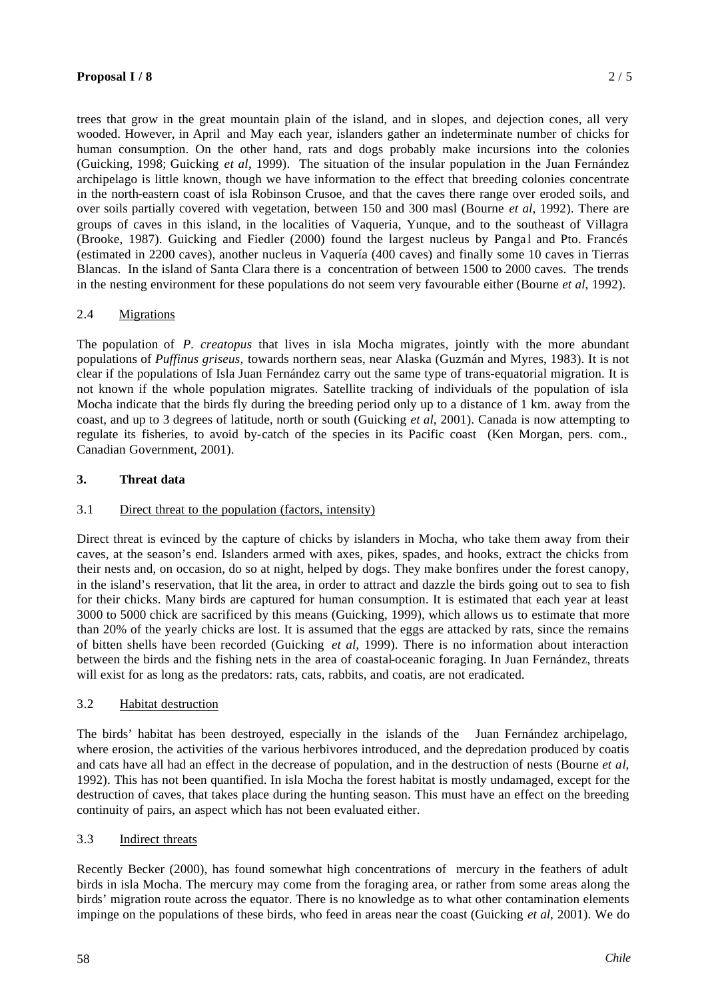## **Proposal I / 8** 2 / 5

trees that grow in the great mountain plain of the island, and in slopes, and dejection cones, all very wooded. However, in April and May each year, islanders gather an indeterminate number of chicks for human consumption. On the other hand, rats and dogs probably make incursions into the colonies (Guicking, 1998; Guicking *et al*, 1999). The situation of the insular population in the Juan Fernández archipelago is little known, though we have information to the effect that breeding colonies concentrate in the north-eastern coast of isla Robinson Crusoe, and that the caves there range over eroded soils, and over soils partially covered with vegetation, between 150 and 300 masl (Bourne *et al*, 1992). There are groups of caves in this island, in the localities of Vaqueria, Yunque, and to the southeast of Villagra (Brooke, 1987). Guicking and Fiedler (2000) found the largest nucleus by Pangal and Pto. Francés (estimated in 2200 caves), another nucleus in Vaquería (400 caves) and finally some 10 caves in Tierras Blancas. In the island of Santa Clara there is a concentration of between 1500 to 2000 caves. The trends in the nesting environment for these populations do not seem very favourable either (Bourne *et al*, 1992).

# 2.4 Migrations

The population of *P. creatopus* that lives in isla Mocha migrates, jointly with the more abundant populations of *Puffinus griseus,* towards northern seas, near Alaska (Guzmán and Myres, 1983). It is not clear if the populations of Isla Juan Fernández carry out the same type of trans-equatorial migration. It is not known if the whole population migrates. Satellite tracking of individuals of the population of isla Mocha indicate that the birds fly during the breeding period only up to a distance of 1 km. away from the coast, and up to 3 degrees of latitude, north or south (Guicking *et al*, 2001). Canada is now attempting to regulate its fisheries, to avoid by-catch of the species in its Pacific coast (Ken Morgan, pers. com., Canadian Government, 2001).

# **3. Threat data**

# 3.1 Direct threat to the population (factors, intensity)

Direct threat is evinced by the capture of chicks by islanders in Mocha, who take them away from their caves, at the season's end. Islanders armed with axes, pikes, spades, and hooks, extract the chicks from their nests and, on occasion, do so at night, helped by dogs. They make bonfires under the forest canopy, in the island's reservation, that lit the area, in order to attract and dazzle the birds going out to sea to fish for their chicks. Many birds are captured for human consumption. It is estimated that each year at least 3000 to 5000 chick are sacrificed by this means (Guicking, 1999), which allows us to estimate that more than 20% of the yearly chicks are lost. It is assumed that the eggs are attacked by rats, since the remains of bitten shells have been recorded (Guicking *et al*, 1999). There is no information about interaction between the birds and the fishing nets in the area of coastal-oceanic foraging. In Juan Fernández, threats will exist for as long as the predators: rats, cats, rabbits, and coatis, are not eradicated.

# 3.2 Habitat destruction

The birds' habitat has been destroyed, especially in the islands of the Juan Fernández archipelago, where erosion, the activities of the various herbivores introduced, and the depredation produced by coatis and cats have all had an effect in the decrease of population, and in the destruction of nests (Bourne *et al*, 1992). This has not been quantified. In isla Mocha the forest habitat is mostly undamaged, except for the destruction of caves, that takes place during the hunting season. This must have an effect on the breeding continuity of pairs, an aspect which has not been evaluated either.

# 3.3 Indirect threats

Recently Becker (2000), has found somewhat high concentrations of mercury in the feathers of adult birds in isla Mocha. The mercury may come from the foraging area, or rather from some areas along the birds' migration route across the equator. There is no knowledge as to what other contamination elements impinge on the populations of these birds, who feed in areas near the coast (Guicking *et al*, 2001). We do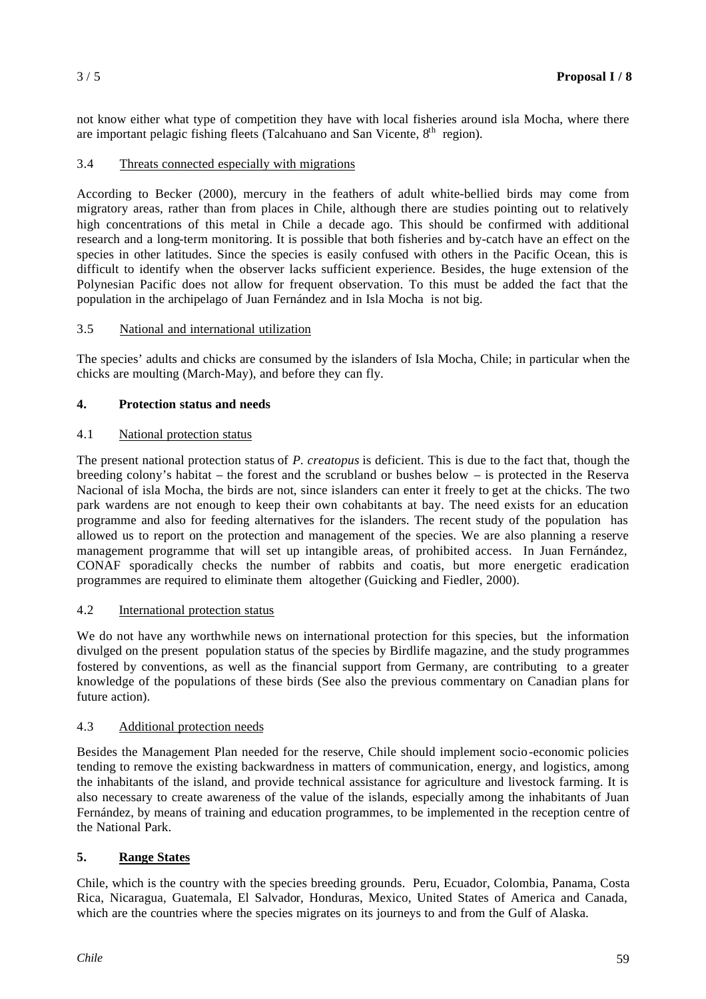not know either what type of competition they have with local fisheries around isla Mocha, where there are important pelagic fishing fleets (Talcahuano and San Vicente,  $8<sup>th</sup>$  region).

#### 3.4 Threats connected especially with migrations

According to Becker (2000), mercury in the feathers of adult white-bellied birds may come from migratory areas, rather than from places in Chile, although there are studies pointing out to relatively high concentrations of this metal in Chile a decade ago. This should be confirmed with additional research and a long-term monitoring. It is possible that both fisheries and by-catch have an effect on the species in other latitudes. Since the species is easily confused with others in the Pacific Ocean, this is difficult to identify when the observer lacks sufficient experience. Besides, the huge extension of the Polynesian Pacific does not allow for frequent observation. To this must be added the fact that the population in the archipelago of Juan Fernández and in Isla Mocha is not big.

#### 3.5 National and international utilization

The species' adults and chicks are consumed by the islanders of Isla Mocha, Chile; in particular when the chicks are moulting (March-May), and before they can fly.

#### **4. Protection status and needs**

#### 4.1 National protection status

The present national protection status of *P. creatopus* is deficient. This is due to the fact that, though the breeding colony's habitat – the forest and the scrubland or bushes below – is protected in the Reserva Nacional of isla Mocha, the birds are not, since islanders can enter it freely to get at the chicks. The two park wardens are not enough to keep their own cohabitants at bay. The need exists for an education programme and also for feeding alternatives for the islanders. The recent study of the population has allowed us to report on the protection and management of the species. We are also planning a reserve management programme that will set up intangible areas, of prohibited access. In Juan Fernández, CONAF sporadically checks the number of rabbits and coatis, but more energetic eradication programmes are required to eliminate them altogether (Guicking and Fiedler, 2000).

#### 4.2 International protection status

We do not have any worthwhile news on international protection for this species, but the information divulged on the present population status of the species by Birdlife magazine, and the study programmes fostered by conventions, as well as the financial support from Germany, are contributing to a greater knowledge of the populations of these birds (See also the previous commentary on Canadian plans for future action).

#### 4.3 Additional protection needs

Besides the Management Plan needed for the reserve, Chile should implement socio-economic policies tending to remove the existing backwardness in matters of communication, energy, and logistics, among the inhabitants of the island, and provide technical assistance for agriculture and livestock farming. It is also necessary to create awareness of the value of the islands, especially among the inhabitants of Juan Fernández, by means of training and education programmes, to be implemented in the reception centre of the National Park.

### **5. Range States**

Chile, which is the country with the species breeding grounds. Peru, Ecuador, Colombia, Panama, Costa Rica, Nicaragua, Guatemala, El Salvador, Honduras, Mexico, United States of America and Canada, which are the countries where the species migrates on its journeys to and from the Gulf of Alaska.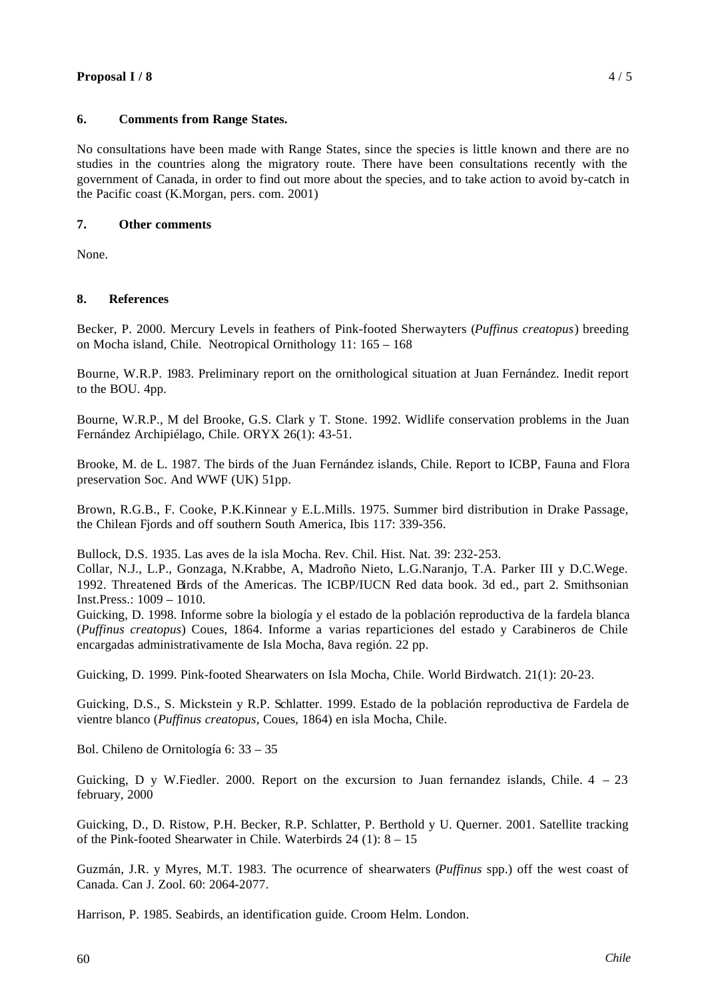## **Proposal I / 8** 4 / 5

## **6. Comments from Range States.**

No consultations have been made with Range States, since the species is little known and there are no studies in the countries along the migratory route. There have been consultations recently with the government of Canada, in order to find out more about the species, and to take action to avoid by-catch in the Pacific coast (K.Morgan, pers. com. 2001)

## **7. Other comments**

None.

## **8. References**

Becker, P. 2000. Mercury Levels in feathers of Pink-footed Sherwayters (*Puffinus creatopus*) breeding on Mocha island, Chile. Neotropical Ornithology 11: 165 – 168

Bourne, W.R.P. 1983. Preliminary report on the ornithological situation at Juan Fernández. Inedit report to the BOU. 4pp.

Bourne, W.R.P., M del Brooke, G.S. Clark y T. Stone. 1992. Widlife conservation problems in the Juan Fernández Archipiélago, Chile. ORYX 26(1): 43-51.

Brooke, M. de L. 1987. The birds of the Juan Fernández islands, Chile. Report to ICBP, Fauna and Flora preservation Soc. And WWF (UK) 51pp.

Brown, R.G.B., F. Cooke, P.K.Kinnear y E.L.Mills. 1975. Summer bird distribution in Drake Passage, the Chilean Fjords and off southern South America, Ibis 117: 339-356.

Bullock, D.S. 1935. Las aves de la isla Mocha. Rev. Chil. Hist. Nat. 39: 232-253.

Collar, N.J., L.P., Gonzaga, N.Krabbe, A, Madroño Nieto, L.G.Naranjo, T.A. Parker III y D.C.Wege. 1992. Threatened Birds of the Americas. The ICBP/IUCN Red data book. 3d ed., part 2. Smithsonian Inst.Press.: 1009 – 1010.

Guicking, D. 1998. Informe sobre la biología y el estado de la población reproductiva de la fardela blanca (*Puffinus creatopus*) Coues, 1864. Informe a varias reparticiones del estado y Carabineros de Chile encargadas administrativamente de Isla Mocha, 8ava región. 22 pp.

Guicking, D. 1999. Pink-footed Shearwaters on Isla Mocha, Chile. World Birdwatch. 21(1): 20-23.

Guicking, D.S., S. Mickstein y R.P. Schlatter. 1999. Estado de la población reproductiva de Fardela de vientre blanco (*Puffinus creatopus*, Coues, 1864) en isla Mocha, Chile.

Bol. Chileno de Ornitología 6: 33 – 35

Guicking, D y W.Fiedler. 2000. Report on the excursion to Juan fernandez islands, Chile.  $4 - 23$ february, 2000

Guicking, D., D. Ristow, P.H. Becker, R.P. Schlatter, P. Berthold y U. Querner. 2001. Satellite tracking of the Pink-footed Shearwater in Chile. Waterbirds 24 (1): 8 – 15

Guzmán, J.R. y Myres, M.T. 1983. The ocurrence of shearwaters (*Puffinus* spp.) off the west coast of Canada. Can J. Zool. 60: 2064-2077.

Harrison, P. 1985. Seabirds, an identification guide. Croom Helm. London.